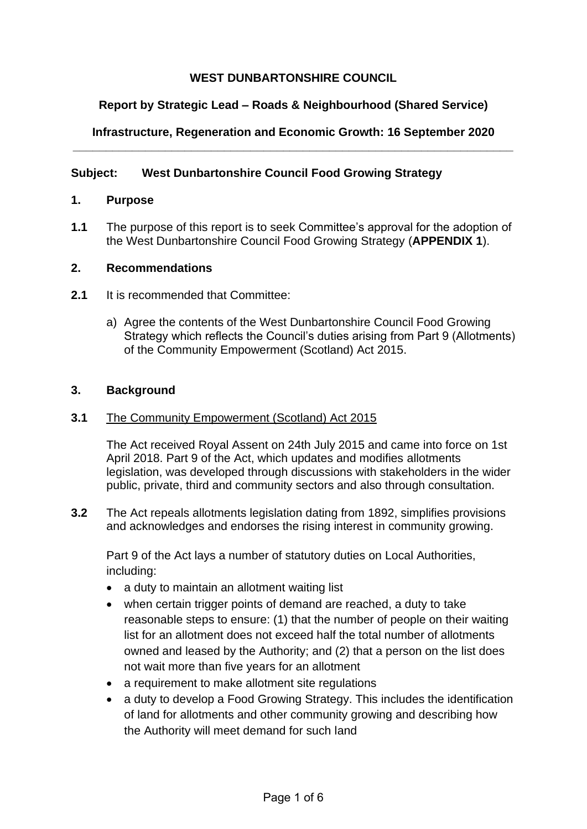# **WEST DUNBARTONSHIRE COUNCIL**

# **Report by Strategic Lead – Roads & Neighbourhood (Shared Service)**

## **Infrastructure, Regeneration and Economic Growth: 16 September 2020 \_\_\_\_\_\_\_\_\_\_\_\_\_\_\_\_\_\_\_\_\_\_\_\_\_\_\_\_\_\_\_\_\_\_\_\_\_\_\_\_\_\_\_\_\_\_\_\_\_\_\_\_\_\_\_\_\_\_\_\_\_\_\_\_\_\_\_**

## **Subject: West Dunbartonshire Council Food Growing Strategy**

### **1. Purpose**

**1.1** The purpose of this report is to seek Committee's approval for the adoption of the West Dunbartonshire Council Food Growing Strategy (**APPENDIX 1**).

### **2. Recommendations**

- **2.1** It is recommended that Committee:
	- a) Agree the contents of the West Dunbartonshire Council Food Growing Strategy which reflects the Council's duties arising from Part 9 (Allotments) of the Community Empowerment (Scotland) Act 2015.

#### **3. Background**

#### **3.1** The Community Empowerment (Scotland) Act 2015

The Act received Royal Assent on 24th July 2015 and came into force on 1st April 2018. Part 9 of the Act, which updates and modifies allotments legislation, was developed through discussions with stakeholders in the wider public, private, third and community sectors and also through consultation.

**3.2** The Act repeals allotments legislation dating from 1892, simplifies provisions and acknowledges and endorses the rising interest in community growing.

Part 9 of the Act lays a number of statutory duties on Local Authorities, including:

- a duty to maintain an allotment waiting list
- when certain trigger points of demand are reached, a duty to take reasonable steps to ensure: (1) that the number of people on their waiting list for an allotment does not exceed half the total number of allotments owned and leased by the Authority; and (2) that a person on the list does not wait more than five years for an allotment
- a requirement to make allotment site regulations
- a duty to develop a Food Growing Strategy. This includes the identification of land for allotments and other community growing and describing how the Authority will meet demand for such land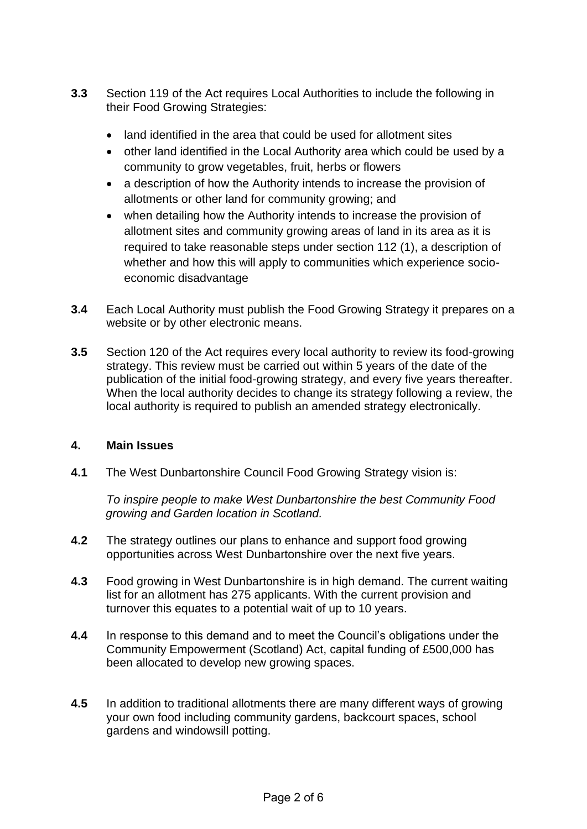- **3.3** Section 119 of the Act requires Local Authorities to include the following in their Food Growing Strategies:
	- land identified in the area that could be used for allotment sites
	- other land identified in the Local Authority area which could be used by a community to grow vegetables, fruit, herbs or flowers
	- a description of how the Authority intends to increase the provision of allotments or other land for community growing; and
	- when detailing how the Authority intends to increase the provision of allotment sites and community growing areas of land in its area as it is required to take reasonable steps under section 112 (1), a description of whether and how this will apply to communities which experience socioeconomic disadvantage
- **3.4** Each Local Authority must publish the Food Growing Strategy it prepares on a website or by other electronic means.
- **3.5** Section 120 of the Act requires every local authority to review its food-growing strategy. This review must be carried out within 5 years of the date of the publication of the initial food-growing strategy, and every five years thereafter. When the local authority decides to change its strategy following a review, the local authority is required to publish an amended strategy electronically.

## **4. Main Issues**

**4.1** The West Dunbartonshire Council Food Growing Strategy vision is:

*To inspire people to make West Dunbartonshire the best Community Food growing and Garden location in Scotland.*

- **4.2** The strategy outlines our plans to enhance and support food growing opportunities across West Dunbartonshire over the next five years.
- **4.3** Food growing in West Dunbartonshire is in high demand. The current waiting list for an allotment has 275 applicants. With the current provision and turnover this equates to a potential wait of up to 10 years.
- **4.4** In response to this demand and to meet the Council's obligations under the Community Empowerment (Scotland) Act, capital funding of £500,000 has been allocated to develop new growing spaces.
- **4.5** In addition to traditional allotments there are many different ways of growing your own food including community gardens, backcourt spaces, school gardens and windowsill potting.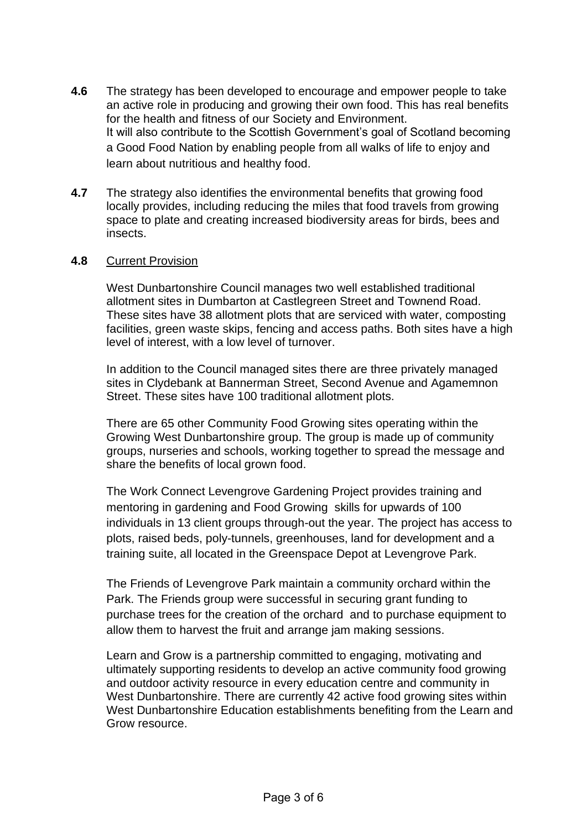- **4.6** The strategy has been developed to encourage and empower people to take an active role in producing and growing their own food. This has real benefits for the health and fitness of our Society and Environment. It will also contribute to the Scottish Government's goal of Scotland becoming a Good Food Nation by enabling people from all walks of life to enjoy and learn about nutritious and healthy food.
- **4.7** The strategy also identifies the environmental benefits that growing food locally provides, including reducing the miles that food travels from growing space to plate and creating increased biodiversity areas for birds, bees and insects.

#### **4.8** Current Provision

West Dunbartonshire Council manages two well established traditional allotment sites in Dumbarton at Castlegreen Street and Townend Road. These sites have 38 allotment plots that are serviced with water, composting facilities, green waste skips, fencing and access paths. Both sites have a high level of interest, with a low level of turnover.

In addition to the Council managed sites there are three privately managed sites in Clydebank at Bannerman Street, Second Avenue and Agamemnon Street. These sites have 100 traditional allotment plots.

There are 65 other Community Food Growing sites operating within the Growing West Dunbartonshire group. The group is made up of community groups, nurseries and schools, working together to spread the message and share the benefits of local grown food.

The Work Connect Levengrove Gardening Project provides training and mentoring in gardening and Food Growing skills for upwards of 100 individuals in 13 client groups through-out the year. The project has access to plots, raised beds, poly-tunnels, greenhouses, land for development and a training suite, all located in the Greenspace Depot at Levengrove Park.

The Friends of Levengrove Park maintain a community orchard within the Park. The Friends group were successful in securing grant funding to purchase trees for the creation of the orchard and to purchase equipment to allow them to harvest the fruit and arrange jam making sessions.

Learn and Grow is a partnership committed to engaging, motivating and ultimately supporting residents to develop an active community food growing and outdoor activity resource in every education centre and community in West Dunbartonshire. There are currently 42 active food growing sites within West Dunbartonshire Education establishments benefiting from the Learn and Grow resource.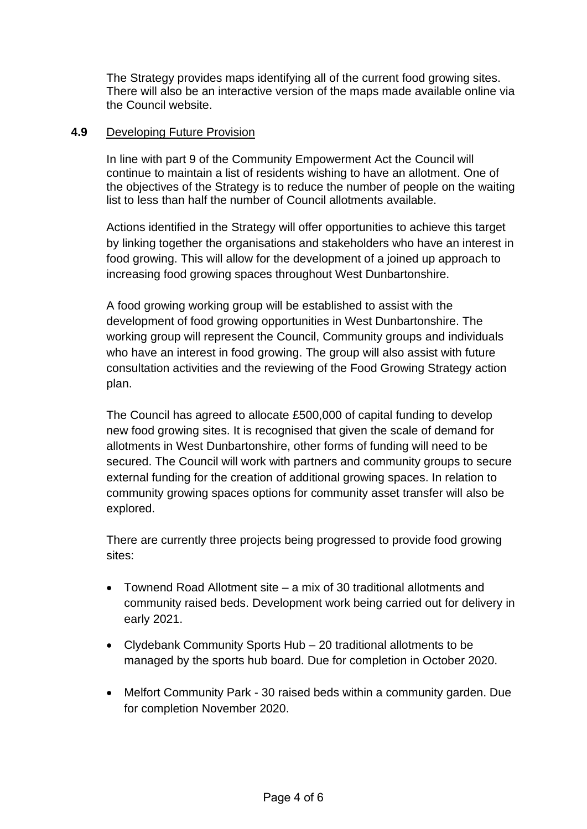The Strategy provides maps identifying all of the current food growing sites. There will also be an interactive version of the maps made available online via the Council website.

## **4.9** Developing Future Provision

In line with part 9 of the Community Empowerment Act the Council will continue to maintain a list of residents wishing to have an allotment. One of the objectives of the Strategy is to reduce the number of people on the waiting list to less than half the number of Council allotments available.

Actions identified in the Strategy will offer opportunities to achieve this target by linking together the organisations and stakeholders who have an interest in food growing. This will allow for the development of a joined up approach to increasing food growing spaces throughout West Dunbartonshire.

A food growing working group will be established to assist with the development of food growing opportunities in West Dunbartonshire. The working group will represent the Council, Community groups and individuals who have an interest in food growing. The group will also assist with future consultation activities and the reviewing of the Food Growing Strategy action plan.

The Council has agreed to allocate £500,000 of capital funding to develop new food growing sites. It is recognised that given the scale of demand for allotments in West Dunbartonshire, other forms of funding will need to be secured. The Council will work with partners and community groups to secure external funding for the creation of additional growing spaces. In relation to community growing spaces options for community asset transfer will also be explored.

There are currently three projects being progressed to provide food growing sites:

- Townend Road Allotment site a mix of 30 traditional allotments and community raised beds. Development work being carried out for delivery in early 2021.
- Clydebank Community Sports Hub 20 traditional allotments to be managed by the sports hub board. Due for completion in October 2020.
- Melfort Community Park 30 raised beds within a community garden. Due for completion November 2020.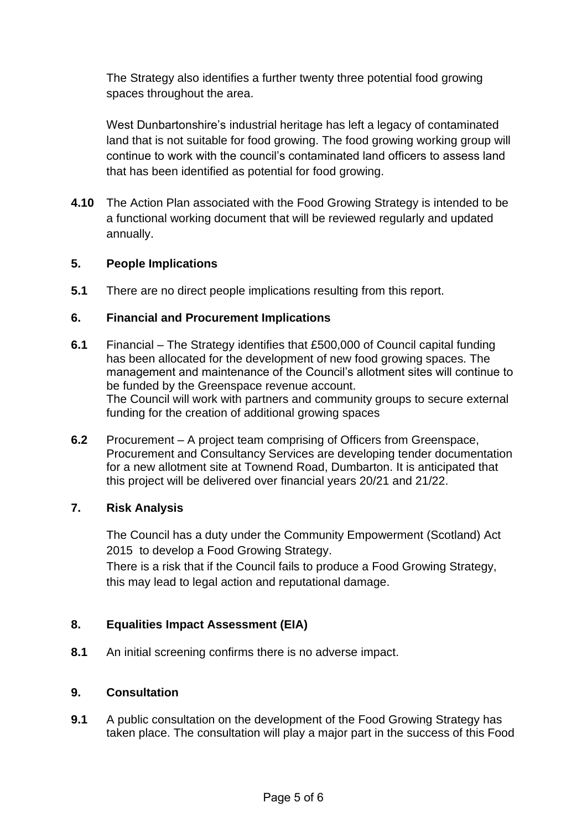The Strategy also identifies a further twenty three potential food growing spaces throughout the area.

West Dunbartonshire's industrial heritage has left a legacy of contaminated land that is not suitable for food growing. The food growing working group will continue to work with the council's contaminated land officers to assess land that has been identified as potential for food growing.

**4.10** The Action Plan associated with the Food Growing Strategy is intended to be a functional working document that will be reviewed regularly and updated annually.

## **5. People Implications**

**5.1** There are no direct people implications resulting from this report.

## **6. Financial and Procurement Implications**

- **6.1** Financial The Strategy identifies that £500,000 of Council capital funding has been allocated for the development of new food growing spaces. The management and maintenance of the Council's allotment sites will continue to be funded by the Greenspace revenue account. The Council will work with partners and community groups to secure external funding for the creation of additional growing spaces
- **6.2** Procurement A project team comprising of Officers from Greenspace, Procurement and Consultancy Services are developing tender documentation for a new allotment site at Townend Road, Dumbarton. It is anticipated that this project will be delivered over financial years 20/21 and 21/22.

## **7. Risk Analysis**

The Council has a duty under the Community Empowerment (Scotland) Act 2015 to develop a Food Growing Strategy.

There is a risk that if the Council fails to produce a Food Growing Strategy, this may lead to legal action and reputational damage.

## **8. Equalities Impact Assessment (EIA)**

**8.1** An initial screening confirms there is no adverse impact.

### **9. Consultation**

**9.1** A public consultation on the development of the Food Growing Strategy has taken place. The consultation will play a major part in the success of this Food